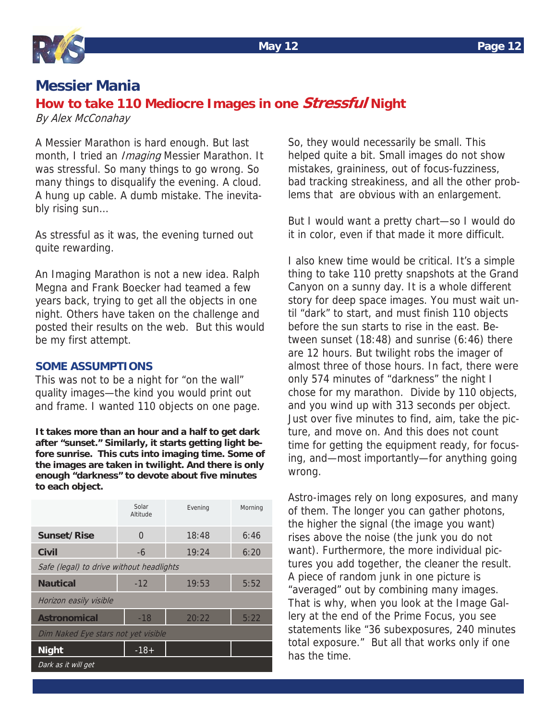# **Messier Mania**

# **How to take 110 Mediocre Images in one Stressful Night**

By Alex McConahay

A Messier Marathon is hard enough. But last month, I tried an *Imaging* Messier Marathon. It was stressful. So many things to go wrong. So many things to disqualify the evening. A cloud. A hung up cable. A dumb mistake. The inevitably rising sun…

As stressful as it was, the evening turned out quite rewarding.

An Imaging Marathon is not a new idea. Ralph Megna and Frank Boecker had teamed a few years back, trying to get all the objects in one night. Others have taken on the challenge and posted their results on the web. But this would be my first attempt.

## **SOME ASSUMPTIONS**

This was not to be a night for "on the wall" quality images—the kind you would print out and frame. I wanted 110 objects on one page.

**It takes more than an hour and a half to get dark after "sunset." Similarly, it starts getting light before sunrise. This cuts into imaging time. Some of the images are taken in twilight. And there is only enough "darkness" to devote about five minutes to each object.** 

|                                          | Solar<br>Altitude | Evening | Morning |
|------------------------------------------|-------------------|---------|---------|
| <b>Sunset/Rise</b>                       | 0                 | 18:48   | 6:46    |
| <b>Civil</b>                             | -6                | 19:24   | 6:20    |
| Safe (legal) to drive without headlights |                   |         |         |
| <b>Nautical</b>                          | $-12$             | 19:53   | 5:52    |
| Horizon easily visible                   |                   |         |         |
| <b>Astronomical</b>                      | $-18$             | 20:22   | 5:22    |
| Dim Naked Eye stars not yet visible      |                   |         |         |
| <b>Night</b>                             | $-18+$            |         |         |
| Dark as it will get                      |                   |         |         |

So, they would necessarily be small. This helped quite a bit. Small images do not show mistakes, graininess, out of focus-fuzziness, bad tracking streakiness, and all the other problems that are obvious with an enlargement.

But I would want a pretty chart—so I would do it in color, even if that made it more difficult.

I also knew time would be critical. It's a simple thing to take 110 pretty snapshots at the Grand Canyon on a sunny day. It is a whole different story for deep space images. You must wait until "dark" to start, and must finish 110 objects before the sun starts to rise in the east. Between sunset (18:48) and sunrise (6:46) there are 12 hours. But twilight robs the imager of almost three of those hours. In fact, there were only 574 minutes of "darkness" the night I chose for my marathon. Divide by 110 objects, and you wind up with 313 seconds per object. Just over five minutes to find, aim, take the picture, and move on. And this does not count time for getting the equipment ready, for focusing, and—most importantly—for anything going wrong.

Astro-images rely on long exposures, and many of them. The longer you can gather photons, the higher the signal (the image you want) rises above the noise (the junk you do not want). Furthermore, the more individual pictures you add together, the cleaner the result. A piece of random junk in one picture is "averaged" out by combining many images. That is why, when you look at the Image Gallery at the end of the Prime Focus, you see statements like "36 subexposures, 240 minutes total exposure." But all that works only if one has the time.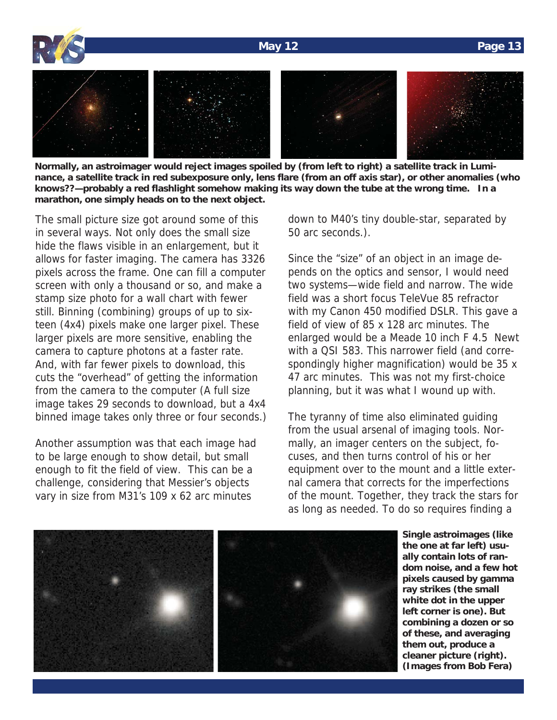### **May 12 Page 13**



**Normally, an astroimager would reject images spoiled by (from left to right) a satellite track in Luminance, a satellite track in red subexposure only, lens flare (from an off axis star), or other anomalies (who knows??—probably a red flashlight somehow making its way down the tube at the wrong time. In a marathon, one simply heads on to the next object.** 

The small picture size got around some of this in several ways. Not only does the small size hide the flaws visible in an enlargement, but it allows for faster imaging. The camera has 3326 pixels across the frame. One can fill a computer screen with only a thousand or so, and make a stamp size photo for a wall chart with fewer still. Binning (combining) groups of up to sixteen (4x4) pixels make one larger pixel. These larger pixels are more sensitive, enabling the camera to capture photons at a faster rate. And, with far fewer pixels to download, this cuts the "overhead" of getting the information from the camera to the computer (A full size image takes 29 seconds to download, but a 4x4 binned image takes only three or four seconds.)

Another assumption was that each image had to be large enough to show detail, but small enough to fit the field of view. This can be a challenge, considering that Messier's objects vary in size from M31's 109 x 62 arc minutes

down to M40's tiny double-star, separated by 50 arc seconds.).

Since the "size" of an object in an image depends on the optics and sensor, I would need two systems—wide field and narrow. The wide field was a short focus TeleVue 85 refractor with my Canon 450 modified DSLR. This gave a field of view of 85 x 128 arc minutes. The enlarged would be a Meade 10 inch F 4.5 Newt with a QSI 583. This narrower field (and correspondingly higher magnification) would be 35 x 47 arc minutes. This was not my first-choice planning, but it was what I wound up with.

The tyranny of time also eliminated guiding from the usual arsenal of imaging tools. Normally, an imager centers on the subject, focuses, and then turns control of his or her equipment over to the mount and a little external camera that corrects for the imperfections of the mount. Together, they track the stars for as long as needed. To do so requires finding a



**Single astroimages (like the one at far left) usually contain lots of random noise, and a few hot pixels caused by gamma ray strikes (the small white dot in the upper left corner is one). But combining a dozen or so of these, and averaging them out, produce a cleaner picture (right). (Images from Bob Fera)**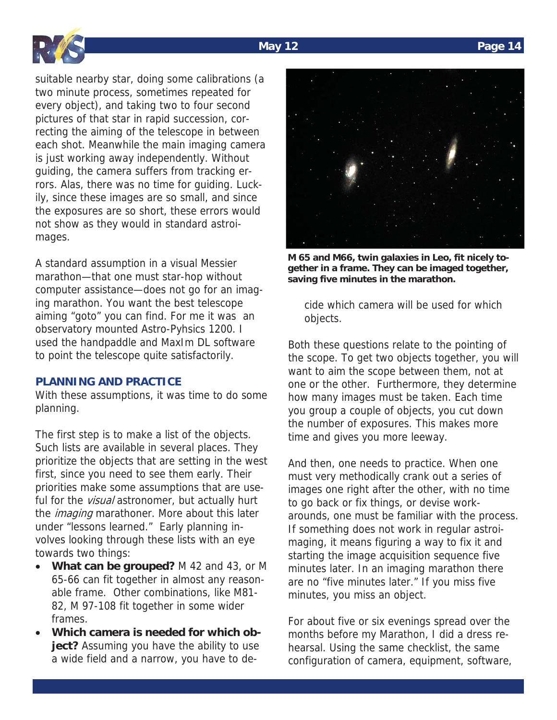



suitable nearby star, doing some calibrations (a two minute process, sometimes repeated for every object), and taking two to four second pictures of that star in rapid succession, correcting the aiming of the telescope in between each shot. Meanwhile the main imaging camera is just working away independently. Without guiding, the camera suffers from tracking errors. Alas, there was no time for guiding. Luckily, since these images are so small, and since the exposures are so short, these errors would not show as they would in standard astroimages.

A standard assumption in a visual Messier marathon—that one must star-hop without computer assistance—does not go for an imaging marathon. You want the best telescope aiming "goto" you can find. For me it was an observatory mounted Astro-Pyhsics 1200. I used the handpaddle and MaxIm DL software to point the telescope quite satisfactorily.

### **PLANNING AND PRACTICE**

With these assumptions, it was time to do some planning.

The first step is to make a list of the objects. Such lists are available in several places. They prioritize the objects that are setting in the west first, since you need to see them early. Their priorities make some assumptions that are useful for the *visual* astronomer, but actually hurt the *imaging* marathoner. More about this later under "lessons learned." Early planning involves looking through these lists with an eye towards two things:

- What can be grouped? M 42 and 43, or M 65-66 can fit together in almost any reasonable frame. Other combinations, like M81- 82, M 97-108 fit together in some wider frames.
- Which camera is needed for which ob**ject?** Assuming you have the ability to use a wide field and a narrow, you have to de-



**M 65 and M66, twin galaxies in Leo, fit nicely together in a frame. They can be imaged together, saving five minutes in the marathon.** 

cide which camera will be used for which objects.

Both these questions relate to the pointing of the scope. To get two objects together, you will want to aim the scope between them, not at one or the other. Furthermore, they determine how many images must be taken. Each time you group a couple of objects, you cut down the number of exposures. This makes more time and gives you more leeway.

And then, one needs to practice. When one must very methodically crank out a series of images one right after the other, with no time to go back or fix things, or devise workarounds, one must be familiar with the process. If something does not work in regular astroimaging, it means figuring a way to fix it and starting the image acquisition sequence five minutes later. In an imaging marathon there are no "five minutes later." If you miss five minutes, you miss an object.

For about five or six evenings spread over the months before my Marathon, I did a dress rehearsal. Using the same checklist, the same configuration of camera, equipment, software,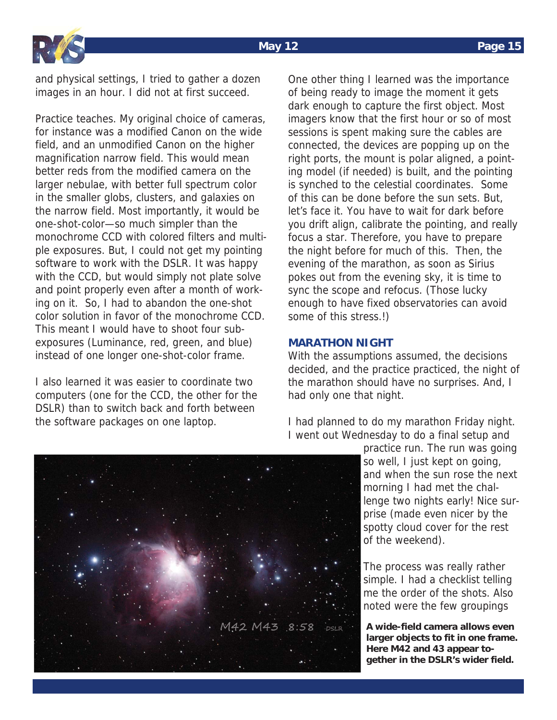

and physical settings, I tried to gather a dozen images in an hour. I did not at first succeed.

Practice teaches. My original choice of cameras, for instance was a modified Canon on the wide field, and an unmodified Canon on the higher magnification narrow field. This would mean better reds from the modified camera on the larger nebulae, with better full spectrum color in the smaller globs, clusters, and galaxies on the narrow field. Most importantly, it would be one-shot-color—so much simpler than the monochrome CCD with colored filters and multiple exposures. But, I could not get my pointing software to work with the DSLR. It was happy with the CCD, but would simply not plate solve and point properly even after a month of working on it. So, I had to abandon the one-shot color solution in favor of the monochrome CCD. This meant I would have to shoot four subexposures (Luminance, red, green, and blue) instead of one longer one-shot-color frame.

I also learned it was easier to coordinate two computers (one for the CCD, the other for the DSLR) than to switch back and forth between the software packages on one laptop.

One other thing I learned was the importance of being ready to image the moment it gets dark enough to capture the first object. Most imagers know that the first hour or so of most sessions is spent making sure the cables are connected, the devices are popping up on the right ports, the mount is polar aligned, a pointing model (if needed) is built, and the pointing is synched to the celestial coordinates. Some of this can be done before the sun sets. But, let's face it. You have to wait for dark before you drift align, calibrate the pointing, and really focus a star. Therefore, you have to prepare the night before for much of this. Then, the evening of the marathon, as soon as Sirius pokes out from the evening sky, it is time to sync the scope and refocus. (Those lucky enough to have fixed observatories can avoid some of this stress.!)

### **MARATHON NIGHT**

With the assumptions assumed, the decisions decided, and the practice practiced, the night of the marathon should have no surprises. And, I had only one that night.

I had planned to do my marathon Friday night. I went out Wednesday to do a final setup and

> practice run. The run was going so well, I just kept on going, and when the sun rose the next morning I had met the challenge two nights early! Nice surprise (made even nicer by the spotty cloud cover for the rest of the weekend).

The process was really rather simple. I had a checklist telling me the order of the shots. Also noted were the few groupings

**A wide-field camera allows even larger objects to fit in one frame. Here M42 and 43 appear together in the DSLR's wider field.** 

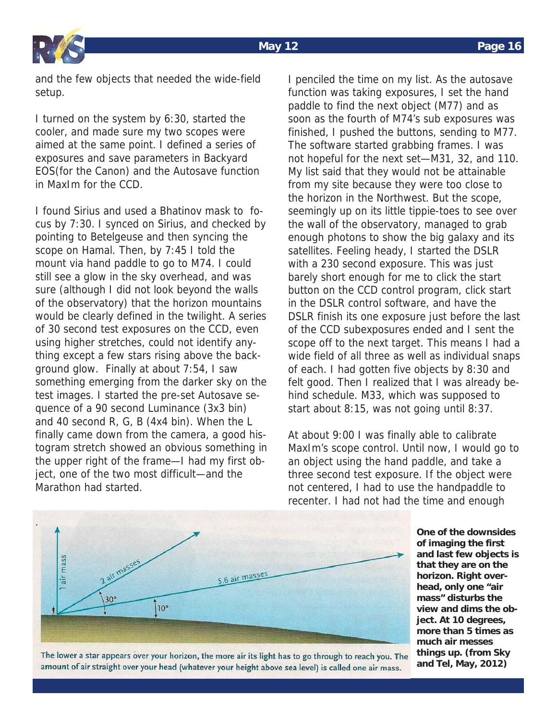

and the few objects that needed the wide-field setup.

I turned on the system by 6:30, started the cooler, and made sure my two scopes were aimed at the same point. I defined a series of exposures and save parameters in Backyard EOS(for the Canon) and the Autosave function in MaxIm for the CCD.

I found Sirius and used a Bhatinov mask to focus by 7:30. I synced on Sirius, and checked by pointing to Betelgeuse and then syncing the scope on Hamal. Then, by 7:45 I told the mount via hand paddle to go to M74. I could still see a glow in the sky overhead, and was sure (although I did not look beyond the walls of the observatory) that the horizon mountains would be clearly defined in the twilight. A series of 30 second test exposures on the CCD, even using higher stretches, could not identify anything except a few stars rising above the background glow. Finally at about 7:54, I saw something emerging from the darker sky on the test images. I started the pre-set Autosave sequence of a 90 second Luminance (3x3 bin) and 40 second R, G, B (4x4 bin). When the L finally came down from the camera, a good histogram stretch showed an obvious something in the upper right of the frame—I had my first object, one of the two most difficult—and the Marathon had started.

I penciled the time on my list. As the autosave function was taking exposures, I set the hand paddle to find the next object (M77) and as soon as the fourth of M74's sub exposures was finished, I pushed the buttons, sending to M77. The software started grabbing frames. I was not hopeful for the next set—M31, 32, and 110. My list said that they would not be attainable from my site because they were too close to the horizon in the Northwest. But the scope, seemingly up on its little tippie-toes to see over the wall of the observatory, managed to grab enough photons to show the big galaxy and its satellites. Feeling heady, I started the DSLR with a 230 second exposure. This was just barely short enough for me to click the start button on the CCD control program, click start in the DSLR control software, and have the DSLR finish its one exposure just before the last of the CCD subexposures ended and I sent the scope off to the next target. This means I had a wide field of all three as well as individual snaps of each. I had gotten five objects by 8:30 and felt good. Then I realized that I was already behind schedule. M33, which was supposed to start about 8:15, was not going until 8:37.

At about 9:00 I was finally able to calibrate MaxIm's scope control. Until now, I would go to an object using the hand paddle, and take a three second test exposure. If the object were not centered, I had to use the handpaddle to recenter. I had not had the time and enough



**One of the downsides of imaging the first and last few objects is that they are on the horizon. Right overhead, only one "air mass" disturbs the view and dims the object. At 10 degrees, more than 5 times as much air messes things up. (from Sky and Tel, May, 2012)** 

The lower a star appears over your horizon, the more air its light has to go through to reach you. The amount of air straight over your head (whatever your height above sea level) is called one air mass.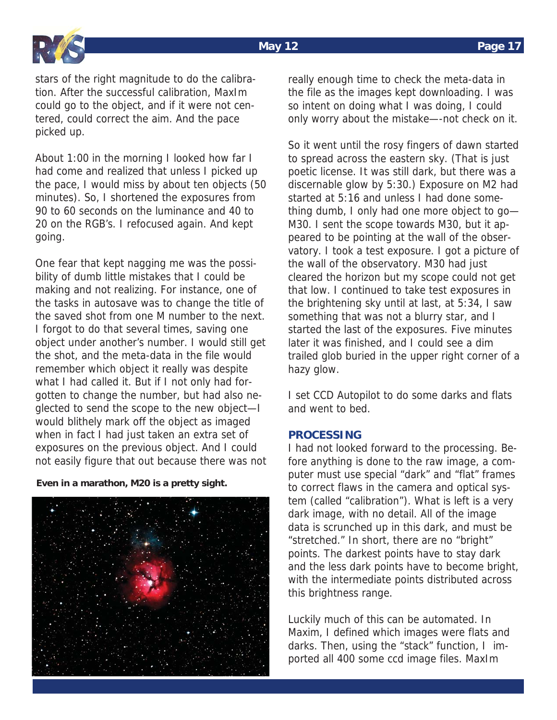

stars of the right magnitude to do the calibration. After the successful calibration, MaxIm could go to the object, and if it were not centered, could correct the aim. And the pace picked up.

About 1:00 in the morning I looked how far I had come and realized that unless I picked up the pace, I would miss by about ten objects (50 minutes). So, I shortened the exposures from 90 to 60 seconds on the luminance and 40 to 20 on the RGB's. I refocused again. And kept going.

One fear that kept nagging me was the possibility of dumb little mistakes that I could be making and not realizing. For instance, one of the tasks in autosave was to change the title of the saved shot from one M number to the next. I forgot to do that several times, saving one object under another's number. I would still get the shot, and the meta-data in the file would remember which object it really was despite what I had called it. But if I not only had forgotten to change the number, but had also neglected to send the scope to the new object—I would blithely mark off the object as imaged when in fact I had just taken an extra set of exposures on the previous object. And I could not easily figure that out because there was not

**Even in a marathon, M20 is a pretty sight.** 



really enough time to check the meta-data in the file as the images kept downloading. I was so intent on doing what I was doing, I could only worry about the mistake—-not check on it.

So it went until the rosy fingers of dawn started to spread across the eastern sky. (That is just poetic license. It was still dark, but there was a discernable glow by 5:30.) Exposure on M2 had started at 5:16 and unless I had done something dumb, I only had one more object to go— M30. I sent the scope towards M30, but it appeared to be pointing at the wall of the observatory. I took a test exposure. I got a picture of the wall of the observatory. M30 had just cleared the horizon but my scope could not get that low. I continued to take test exposures in the brightening sky until at last, at 5:34, I saw something that was not a blurry star, and I started the last of the exposures. Five minutes later it was finished, and I could see a dim trailed glob buried in the upper right corner of a hazy glow.

I set CCD Autopilot to do some darks and flats and went to bed.

### **PROCESSING**

I had not looked forward to the processing. Before anything is done to the raw image, a computer must use special "dark" and "flat" frames to correct flaws in the camera and optical system (called "calibration"). What is left is a very dark image, with no detail. All of the image data is scrunched up in this dark, and must be "stretched." In short, there are no "bright" points. The darkest points have to stay dark and the less dark points have to become bright, with the intermediate points distributed across this brightness range.

Luckily much of this can be automated. In Maxim, I defined which images were flats and darks. Then, using the "stack" function, I imported all 400 some ccd image files. MaxIm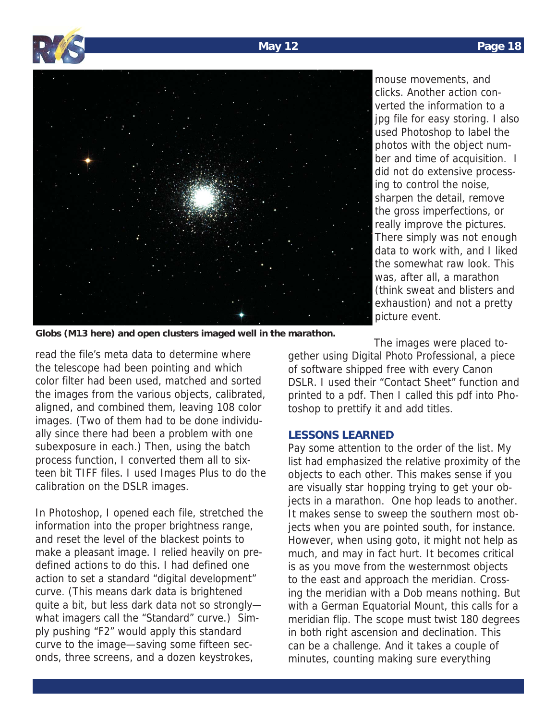



mouse movements, and clicks. Another action converted the information to a jpg file for easy storing. I also used Photoshop to label the photos with the object number and time of acquisition. I did not do extensive processing to control the noise, sharpen the detail, remove the gross imperfections, or really improve the pictures. There simply was not enough data to work with, and I liked the somewhat raw look. This was, after all, a marathon (think sweat and blisters and exhaustion) and not a pretty picture event.

**Globs (M13 here) and open clusters imaged well in the marathon.** 

read the file's meta data to determine where the telescope had been pointing and which color filter had been used, matched and sorted the images from the various objects, calibrated, aligned, and combined them, leaving 108 color images. (Two of them had to be done individually since there had been a problem with one subexposure in each.) Then, using the batch process function, I converted them all to sixteen bit TIFF files. I used Images Plus to do the calibration on the DSLR images.

In Photoshop, I opened each file, stretched the information into the proper brightness range, and reset the level of the blackest points to make a pleasant image. I relied heavily on predefined actions to do this. I had defined one action to set a standard "digital development" curve. (This means dark data is brightened quite a bit, but less dark data not so strongly what imagers call the "Standard" curve.) Simply pushing "F2" would apply this standard curve to the image—saving some fifteen seconds, three screens, and a dozen keystrokes,

The images were placed to-

gether using Digital Photo Professional, a piece of software shipped free with every Canon DSLR. I used their "Contact Sheet" function and printed to a pdf. Then I called this pdf into Photoshop to prettify it and add titles.

### **LESSONS LEARNED**

Pay some attention to the order of the list. My list had emphasized the relative proximity of the objects to each other. This makes sense if you are visually star hopping trying to get your objects in a marathon. One hop leads to another. It makes sense to sweep the southern most objects when you are pointed south, for instance. However, when using goto, it might not help as much, and may in fact hurt. It becomes critical is as you move from the westernmost objects to the east and approach the meridian. Crossing the meridian with a Dob means nothing. But with a German Equatorial Mount, this calls for a meridian flip. The scope must twist 180 degrees in both right ascension and declination. This can be a challenge. And it takes a couple of minutes, counting making sure everything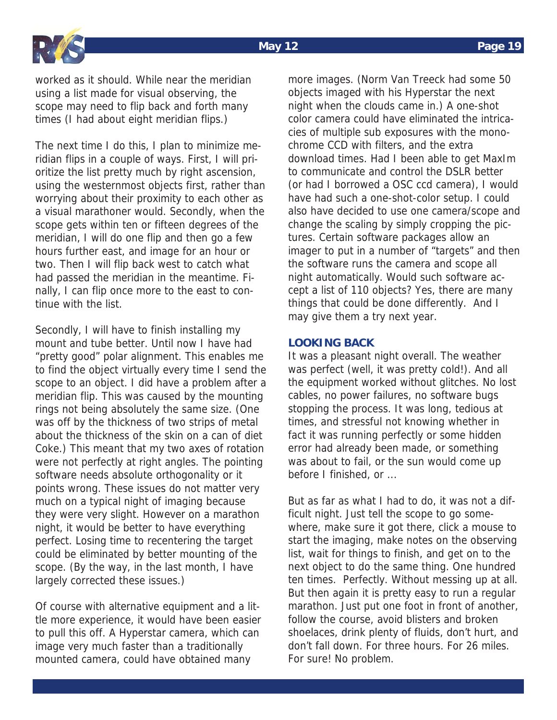

worked as it should. While near the meridian using a list made for visual observing, the scope may need to flip back and forth many times (I had about eight meridian flips.)

The next time I do this, I plan to minimize meridian flips in a couple of ways. First, I will prioritize the list pretty much by right ascension, using the westernmost objects first, rather than worrying about their proximity to each other as a visual marathoner would. Secondly, when the scope gets within ten or fifteen degrees of the meridian, I will do one flip and then go a few hours further east, and image for an hour or two. Then I will flip back west to catch what had passed the meridian in the meantime. Finally, I can flip once more to the east to continue with the list.

Secondly, I will have to finish installing my mount and tube better. Until now I have had "pretty good" polar alignment. This enables me to find the object virtually every time I send the scope to an object. I did have a problem after a meridian flip. This was caused by the mounting rings not being absolutely the same size. (One was off by the thickness of two strips of metal about the thickness of the skin on a can of diet Coke.) This meant that my two axes of rotation were not perfectly at right angles. The pointing software needs absolute orthogonality or it points wrong. These issues do not matter very much on a typical night of imaging because they were very slight. However on a marathon night, it would be better to have everything perfect. Losing time to recentering the target could be eliminated by better mounting of the scope. (By the way, in the last month, I have largely corrected these issues.)

Of course with alternative equipment and a little more experience, it would have been easier to pull this off. A Hyperstar camera, which can image very much faster than a traditionally mounted camera, could have obtained many

more images. (Norm Van Treeck had some 50 objects imaged with his Hyperstar the next night when the clouds came in.) A one-shot color camera could have eliminated the intricacies of multiple sub exposures with the monochrome CCD with filters, and the extra download times. Had I been able to get MaxIm to communicate and control the DSLR better (or had I borrowed a OSC ccd camera), I would have had such a one-shot-color setup. I could also have decided to use one camera/scope and change the scaling by simply cropping the pictures. Certain software packages allow an imager to put in a number of "targets" and then the software runs the camera and scope all night automatically. Would such software accept a list of 110 objects? Yes, there are many things that could be done differently. And I may give them a try next year.

### **LOOKING BACK**

It was a pleasant night overall. The weather was perfect (well, it was pretty cold!). And all the equipment worked without glitches. No lost cables, no power failures, no software bugs stopping the process. It was long, tedious at times, and stressful not knowing whether in fact it was running perfectly or some hidden error had already been made, or something was about to fail, or the sun would come up before I finished, or ...

But as far as what I had to do, it was not a difficult night. Just tell the scope to go somewhere, make sure it got there, click a mouse to start the imaging, make notes on the observing list, wait for things to finish, and get on to the next object to do the same thing. One hundred ten times. Perfectly. Without messing up at all. But then again it is pretty easy to run a regular marathon. Just put one foot in front of another, follow the course, avoid blisters and broken shoelaces, drink plenty of fluids, don't hurt, and don't fall down. For three hours. For 26 miles. For sure! No problem.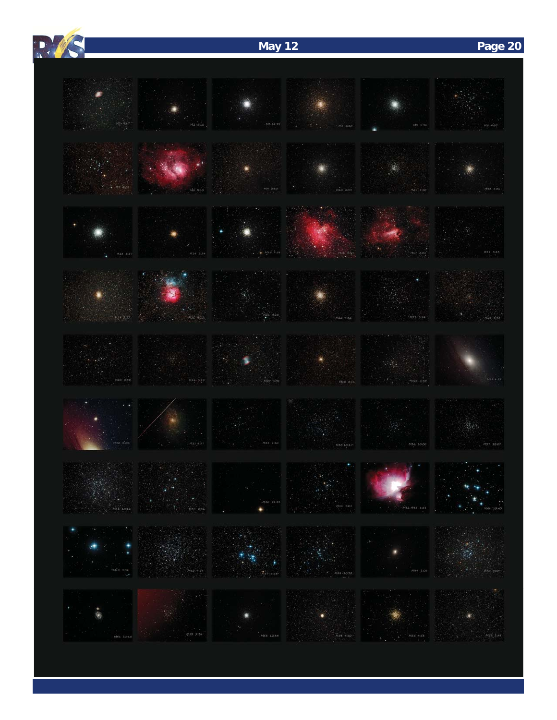# **May 12 Page 20**